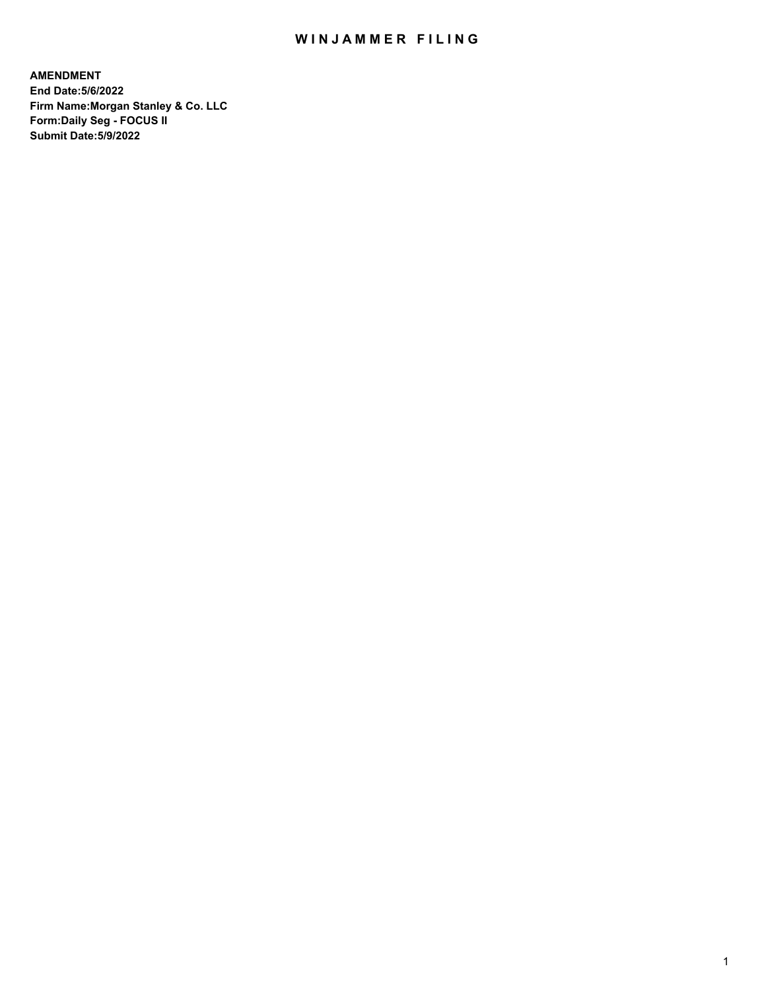## WIN JAMMER FILING

**AMENDMENT End Date:5/6/2022 Firm Name:Morgan Stanley & Co. LLC Form:Daily Seg - FOCUS II Submit Date:5/9/2022**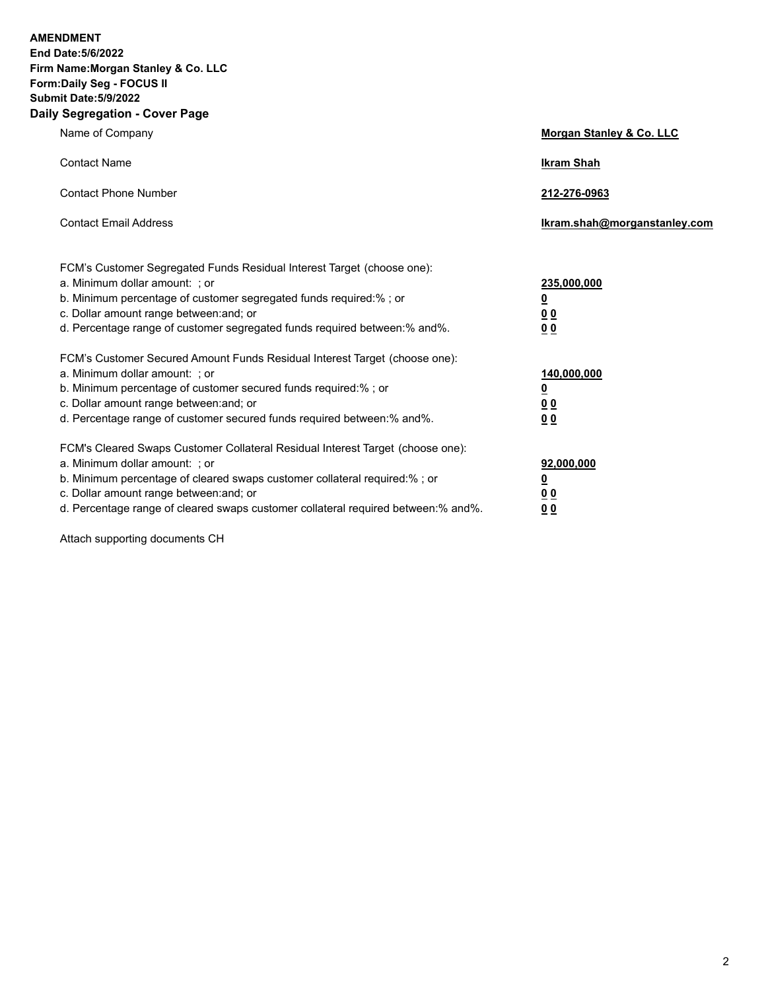**AMENDMENT** 

**End Date:5/6/2022 Firm Name:Morgan Stanley & Co. LLC Form:Daily Seg - FOCUS II Submit Date:5/9/2022 Daily Segregation - Cover Page**

| $\frac{1}{2}$                                                                     |                                     |
|-----------------------------------------------------------------------------------|-------------------------------------|
| Name of Company                                                                   | <b>Morgan Stanley &amp; Co. LLC</b> |
| <b>Contact Name</b>                                                               | <b>Ikram Shah</b>                   |
| <b>Contact Phone Number</b>                                                       | 212-276-0963                        |
| <b>Contact Email Address</b>                                                      | Ikram.shah@morganstanley.com        |
| FCM's Customer Segregated Funds Residual Interest Target (choose one):            |                                     |
| a. Minimum dollar amount: ; or                                                    | 235,000,000                         |
| b. Minimum percentage of customer segregated funds required:% ; or                | <u>0</u>                            |
| c. Dollar amount range between: and; or                                           | 00                                  |
| d. Percentage range of customer segregated funds required between: % and %.       | 0 <sub>0</sub>                      |
| FCM's Customer Secured Amount Funds Residual Interest Target (choose one):        |                                     |
| a. Minimum dollar amount: ; or                                                    | 140,000,000                         |
| b. Minimum percentage of customer secured funds required:%; or                    | <u>0</u>                            |
| c. Dollar amount range between: and; or                                           | <u>00</u>                           |
| d. Percentage range of customer secured funds required between:% and%.            | 0 <sup>0</sup>                      |
| FCM's Cleared Swaps Customer Collateral Residual Interest Target (choose one):    |                                     |
| a. Minimum dollar amount: ; or                                                    | 92,000,000                          |
| b. Minimum percentage of cleared swaps customer collateral required:%; or         | <u>0</u>                            |
| c. Dollar amount range between: and; or                                           | 0 <sup>0</sup>                      |
| d. Percentage range of cleared swaps customer collateral required between:% and%. | 0 <sub>0</sub>                      |

Attach supporting documents CH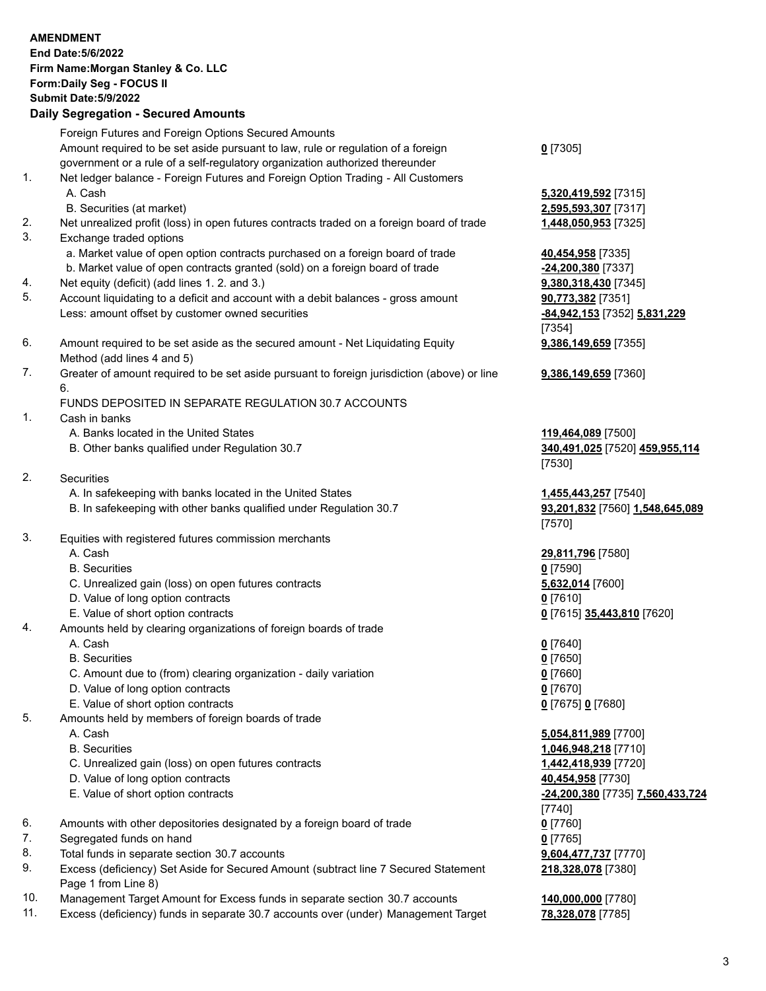|                | <b>AMENDMENT</b><br>End Date: 5/6/2022<br>Firm Name: Morgan Stanley & Co. LLC<br>Form: Daily Seg - FOCUS II<br><b>Submit Date: 5/9/2022</b><br><b>Daily Segregation - Secured Amounts</b> |                                              |
|----------------|-------------------------------------------------------------------------------------------------------------------------------------------------------------------------------------------|----------------------------------------------|
|                | Foreign Futures and Foreign Options Secured Amounts<br>Amount required to be set aside pursuant to law, rule or regulation of a foreign                                                   | $0$ [7305]                                   |
|                | government or a rule of a self-regulatory organization authorized thereunder                                                                                                              |                                              |
| 1.             | Net ledger balance - Foreign Futures and Foreign Option Trading - All Customers<br>A. Cash                                                                                                | 5,320,419,592 [7315]                         |
| 2.             | B. Securities (at market)<br>Net unrealized profit (loss) in open futures contracts traded on a foreign board of trade                                                                    | 2,595,593,307 [7317]<br>1,448,050,953 [7325] |
| 3.             | Exchange traded options                                                                                                                                                                   |                                              |
|                | a. Market value of open option contracts purchased on a foreign board of trade                                                                                                            | 40,454,958 [7335]                            |
|                | b. Market value of open contracts granted (sold) on a foreign board of trade                                                                                                              | -24,200,380 [7337]                           |
| 4.             | Net equity (deficit) (add lines 1. 2. and 3.)                                                                                                                                             | 9,380,318,430 [7345]                         |
| 5.             | Account liquidating to a deficit and account with a debit balances - gross amount                                                                                                         | 90,773,382 [7351]                            |
|                | Less: amount offset by customer owned securities                                                                                                                                          | -84,942,153 [7352] 5,831,229                 |
|                |                                                                                                                                                                                           | [7354]                                       |
| 6.             | Amount required to be set aside as the secured amount - Net Liquidating Equity<br>Method (add lines 4 and 5)                                                                              | 9,386,149,659 [7355]                         |
| 7.             | Greater of amount required to be set aside pursuant to foreign jurisdiction (above) or line<br>6.                                                                                         | 9,386,149,659 [7360]                         |
|                | FUNDS DEPOSITED IN SEPARATE REGULATION 30.7 ACCOUNTS                                                                                                                                      |                                              |
| $\mathbf{1}$ . | Cash in banks                                                                                                                                                                             |                                              |
|                | A. Banks located in the United States                                                                                                                                                     | 119,464,089 [7500]                           |
|                | B. Other banks qualified under Regulation 30.7                                                                                                                                            | 340,491,025 [7520] 459,955,114<br>[7530]     |
| 2.             | <b>Securities</b>                                                                                                                                                                         |                                              |
|                | A. In safekeeping with banks located in the United States                                                                                                                                 | 1,455,443,257 [7540]                         |
|                | B. In safekeeping with other banks qualified under Regulation 30.7                                                                                                                        | 93,201,832 [7560] 1,548,645,089<br>[7570]    |
| 3.             | Equities with registered futures commission merchants                                                                                                                                     |                                              |
|                | A. Cash                                                                                                                                                                                   | 29,811,796 [7580]                            |
|                | <b>B.</b> Securities                                                                                                                                                                      | $0$ [7590]                                   |
|                | C. Unrealized gain (loss) on open futures contracts                                                                                                                                       | 5,632,014 [7600]                             |
|                | D. Value of long option contracts                                                                                                                                                         | <u>0</u> [7610]                              |
|                | E. Value of short option contracts                                                                                                                                                        | 0 [7615] 35,443,810 [7620]                   |
| 4.             | Amounts held by clearing organizations of foreign boards of trade                                                                                                                         |                                              |
|                | A. Cash                                                                                                                                                                                   | $0$ [7640]                                   |
|                | <b>B.</b> Securities<br>C. Amount due to (from) clearing organization - daily variation                                                                                                   | $0$ [7650]<br>$0$ [7660]                     |
|                | D. Value of long option contracts                                                                                                                                                         | $0$ [7670]                                   |
|                | E. Value of short option contracts                                                                                                                                                        | 0 [7675] 0 [7680]                            |
| 5.             | Amounts held by members of foreign boards of trade                                                                                                                                        |                                              |
|                | A. Cash                                                                                                                                                                                   | 5,054,811,989 [7700]                         |
|                | <b>B.</b> Securities                                                                                                                                                                      | 1,046,948,218 [7710]                         |
|                | C. Unrealized gain (loss) on open futures contracts                                                                                                                                       | 1,442,418,939 [7720]                         |
|                | D. Value of long option contracts                                                                                                                                                         | 40,454,958 [7730]                            |
|                | E. Value of short option contracts                                                                                                                                                        | -24,200,380 [7735] 7,560,433,724             |
| 6.             | Amounts with other depositories designated by a foreign board of trade                                                                                                                    | [7740]<br>$0$ [7760]                         |
| 7.             | Segregated funds on hand                                                                                                                                                                  | $0$ [7765]                                   |
| 8.             | Total funds in separate section 30.7 accounts                                                                                                                                             | 9,604,477,737 [7770]                         |
| 9.             | Excess (deficiency) Set Aside for Secured Amount (subtract line 7 Secured Statement                                                                                                       | 218,328,078 [7380]                           |
| 10.            | Page 1 from Line 8)<br>Management Target Amount for Excess funds in separate section 30.7 accounts                                                                                        | 140,000,000 [7780]                           |
|                |                                                                                                                                                                                           |                                              |

11. Excess (deficiency) funds in separate 30.7 accounts over (under) Management Target **78,328,078** [7785]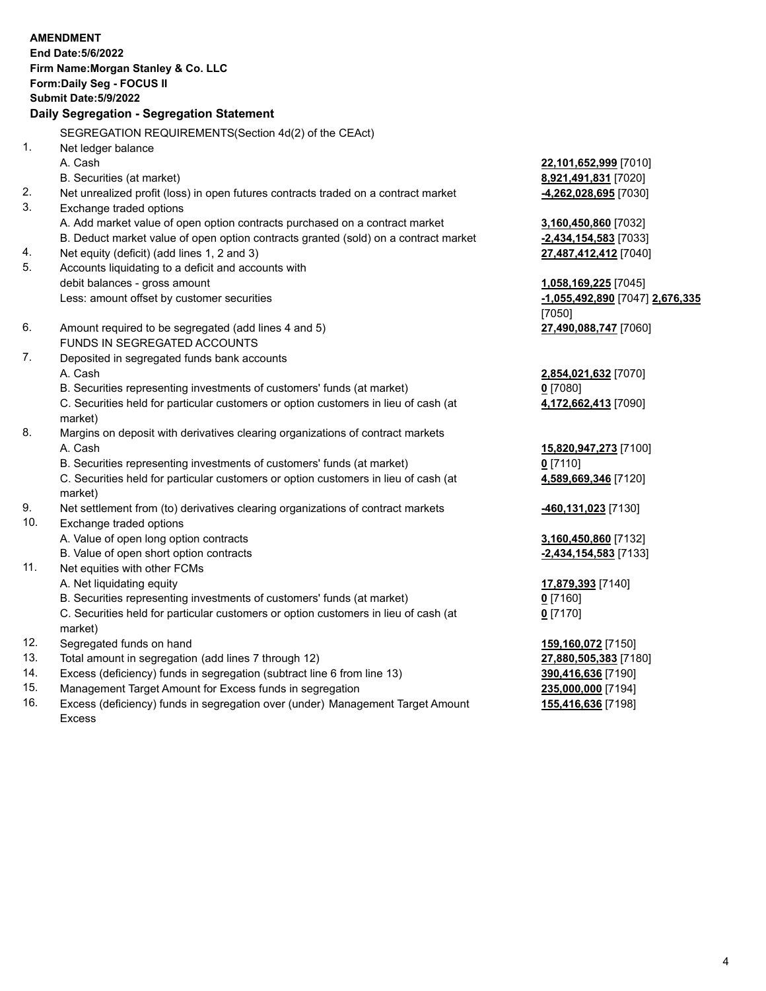|           | <b>AMENDMENT</b>                                                                    |                                 |
|-----------|-------------------------------------------------------------------------------------|---------------------------------|
|           | End Date: 5/6/2022                                                                  |                                 |
|           | Firm Name: Morgan Stanley & Co. LLC                                                 |                                 |
|           | Form: Daily Seg - FOCUS II                                                          |                                 |
|           | <b>Submit Date: 5/9/2022</b>                                                        |                                 |
|           | Daily Segregation - Segregation Statement                                           |                                 |
|           | SEGREGATION REQUIREMENTS(Section 4d(2) of the CEAct)                                |                                 |
| 1.        | Net ledger balance                                                                  |                                 |
|           | A. Cash                                                                             | 22,101,652,999 [7010]           |
|           | B. Securities (at market)                                                           | 8,921,491,831 [7020]            |
| 2.        | Net unrealized profit (loss) in open futures contracts traded on a contract market  | -4,262,028,695 [7030]           |
| 3.        | Exchange traded options                                                             |                                 |
|           | A. Add market value of open option contracts purchased on a contract market         | 3,160,450,860 [7032]            |
|           | B. Deduct market value of open option contracts granted (sold) on a contract market | $-2,434,154,583$ [7033]         |
| 4.        | Net equity (deficit) (add lines 1, 2 and 3)                                         | 27,487,412,412 [7040]           |
| 5.        | Accounts liquidating to a deficit and accounts with                                 |                                 |
|           | debit balances - gross amount                                                       | 1,058,169,225 [7045]            |
|           | Less: amount offset by customer securities                                          | -1,055,492,890 [7047] 2,676,335 |
|           |                                                                                     | [7050]                          |
| 6.        | Amount required to be segregated (add lines 4 and 5)                                | 27,490,088,747 [7060]           |
|           | FUNDS IN SEGREGATED ACCOUNTS                                                        |                                 |
| 7.        | Deposited in segregated funds bank accounts                                         |                                 |
|           | A. Cash                                                                             | 2,854,021,632 [7070]            |
|           | B. Securities representing investments of customers' funds (at market)              | $0$ [7080]                      |
|           | C. Securities held for particular customers or option customers in lieu of cash (at | 4,172,662,413 [7090]            |
|           | market)                                                                             |                                 |
| 8.        | Margins on deposit with derivatives clearing organizations of contract markets      |                                 |
|           | A. Cash                                                                             | 15,820,947,273 [7100]           |
|           | B. Securities representing investments of customers' funds (at market)              | $0$ [7110]                      |
|           | C. Securities held for particular customers or option customers in lieu of cash (at | 4,589,669,346 [7120]            |
|           | market)                                                                             |                                 |
| 9.<br>10. | Net settlement from (to) derivatives clearing organizations of contract markets     | 460,131,023 [7130]              |
|           | Exchange traded options                                                             |                                 |
|           | A. Value of open long option contracts<br>B. Value of open short option contracts   | 3,160,450,860 [7132]            |
| 11.       | Net equities with other FCMs                                                        | -2,434,154,583 [7133]           |
|           | A. Net liquidating equity                                                           | 17,879,393 [7140]               |
|           | B. Securities representing investments of customers' funds (at market)              | $0$ [7160]                      |
|           | C. Securities held for particular customers or option customers in lieu of cash (at | $0$ [7170]                      |
|           | market)                                                                             |                                 |
| 12.       | Segregated funds on hand                                                            | 159,160,072 [7150]              |
| 13.       | Total amount in segregation (add lines 7 through 12)                                | 27,880,505,383 [7180]           |
| 14.       | Excess (deficiency) funds in segregation (subtract line 6 from line 13)             | 390,416,636 [7190]              |
| 15        | Management Target Amount for Excess funds in segregation                            | 235 000 000 [7104]              |

15. Management Target Amount for Excess funds in segregation<br>16. Excess (deficiency) funds in segregation over (under) Manag Excess (deficiency) funds in segregation over (under) Management Target Amount Excess

**155,416,636** [7198]